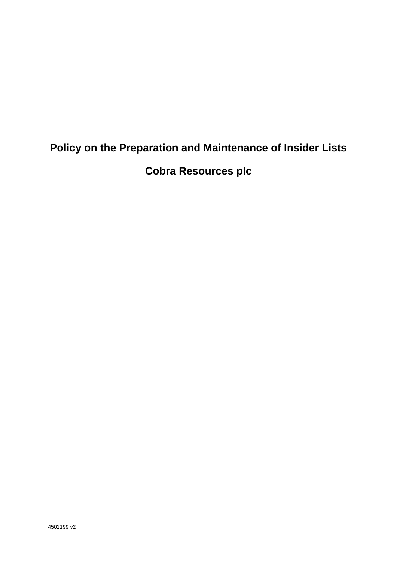# **Policy on the Preparation and Maintenance of Insider Lists**

**Cobra Resources plc**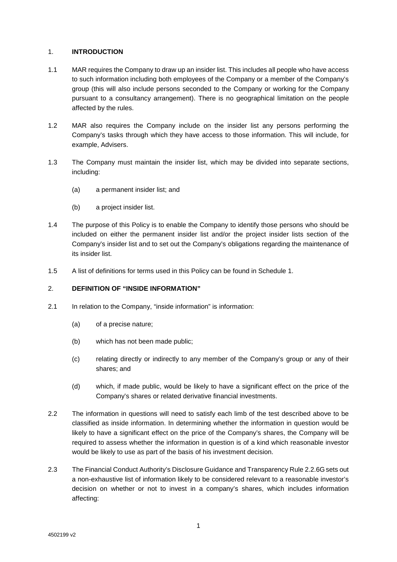### 1. **INTRODUCTION**

- 1.1 MAR requires the Company to draw up an insider list. This includes all people who have access to such information including both employees of the Company or a member of the Company's group (this will also include persons seconded to the Company or working for the Company pursuant to a consultancy arrangement). There is no geographical limitation on the people affected by the rules.
- 1.2 MAR also requires the Company include on the insider list any persons performing the Company's tasks through which they have access to those information. This will include, for example, Advisers.
- 1.3 The Company must maintain the insider list, which may be divided into separate sections, including:
	- (a) a permanent insider list; and
	- (b) a project insider list.
- 1.4 The purpose of this Policy is to enable the Company to identify those persons who should be included on either the permanent insider list and/or the project insider lists section of the Company's insider list and to set out the Company's obligations regarding the maintenance of its insider list.
- 1.5 A list of definitions for terms used in this Policy can be found in Schedule 1.

# 2. **DEFINITION OF "INSIDE INFORMATION"**

- 2.1 In relation to the Company, "inside information" is information:
	- (a) of a precise nature;
	- (b) which has not been made public;
	- (c) relating directly or indirectly to any member of the Company's group or any of their shares; and
	- (d) which, if made public, would be likely to have a significant effect on the price of the Company's shares or related derivative financial investments.
- 2.2 The information in questions will need to satisfy each limb of the test described above to be classified as inside information. In determining whether the information in question would be likely to have a significant effect on the price of the Company's shares, the Company will be required to assess whether the information in question is of a kind which reasonable investor would be likely to use as part of the basis of his investment decision.
- 2.3 The Financial Conduct Authority's Disclosure Guidance and Transparency Rule 2.2.6Gsets out a non-exhaustive list of information likely to be considered relevant to a reasonable investor's decision on whether or not to invest in a company's shares, which includes information affecting: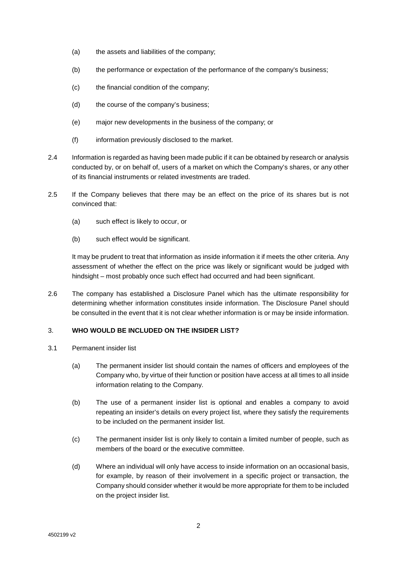- (a) the assets and liabilities of the company;
- (b) the performance or expectation of the performance of the company's business;
- (c) the financial condition of the company;
- (d) the course of the company's business;
- (e) major new developments in the business of the company; or
- (f) information previously disclosed to the market.
- 2.4 Information is regarded as having been made public if it can be obtained by research or analysis conducted by, or on behalf of, users of a market on which the Company's shares, or any other of its financial instruments or related investments are traded.
- 2.5 If the Company believes that there may be an effect on the price of its shares but is not convinced that:
	- (a) such effect is likely to occur, or
	- (b) such effect would be significant.

It may be prudent to treat that information as inside information it if meets the other criteria. Any assessment of whether the effect on the price was likely or significant would be judged with hindsight – most probably once such effect had occurred and had been significant.

2.6 The company has established a Disclosure Panel which has the ultimate responsibility for determining whether information constitutes inside information. The Disclosure Panel should be consulted in the event that it is not clear whether information is or may be inside information.

#### 3. **WHO WOULD BE INCLUDED ON THE INSIDER LIST?**

- 3.1 Permanent insider list
	- (a) The permanent insider list should contain the names of officers and employees of the Company who, by virtue of their function or position have access at all times to all inside information relating to the Company.
	- (b) The use of a permanent insider list is optional and enables a company to avoid repeating an insider's details on every project list, where they satisfy the requirements to be included on the permanent insider list.
	- (c) The permanent insider list is only likely to contain a limited number of people, such as members of the board or the executive committee.
	- (d) Where an individual will only have access to inside information on an occasional basis, for example, by reason of their involvement in a specific project or transaction, the Company should consider whether it would be more appropriate for them to be included on the project insider list.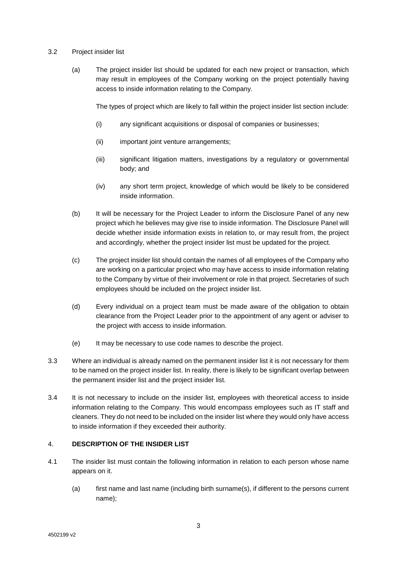#### 3.2 Project insider list

(a) The project insider list should be updated for each new project or transaction, which may result in employees of the Company working on the project potentially having access to inside information relating to the Company.

The types of project which are likely to fall within the project insider list section include:

- (i) any significant acquisitions or disposal of companies or businesses;
- (ii) important joint venture arrangements;
- (iii) significant litigation matters, investigations by a regulatory or governmental body; and
- (iv) any short term project, knowledge of which would be likely to be considered inside information.
- (b) It will be necessary for the Project Leader to inform the Disclosure Panel of any new project which he believes may give rise to inside information. The Disclosure Panel will decide whether inside information exists in relation to, or may result from, the project and accordingly, whether the project insider list must be updated for the project.
- (c) The project insider list should contain the names of all employees of the Company who are working on a particular project who may have access to inside information relating to the Company by virtue of their involvement or role in that project. Secretaries of such employees should be included on the project insider list.
- (d) Every individual on a project team must be made aware of the obligation to obtain clearance from the Project Leader prior to the appointment of any agent or adviser to the project with access to inside information.
- (e) It may be necessary to use code names to describe the project.
- 3.3 Where an individual is already named on the permanent insider list it is not necessary for them to be named on the project insider list. In reality, there is likely to be significant overlap between the permanent insider list and the project insider list.
- 3.4 It is not necessary to include on the insider list, employees with theoretical access to inside information relating to the Company. This would encompass employees such as IT staff and cleaners. They do not need to be included on the insider list where they would only have access to inside information if they exceeded their authority.

# 4. **DESCRIPTION OF THE INSIDER LIST**

- 4.1 The insider list must contain the following information in relation to each person whose name appears on it.
	- (a) first name and last name (including birth surname(s), if different to the persons current name);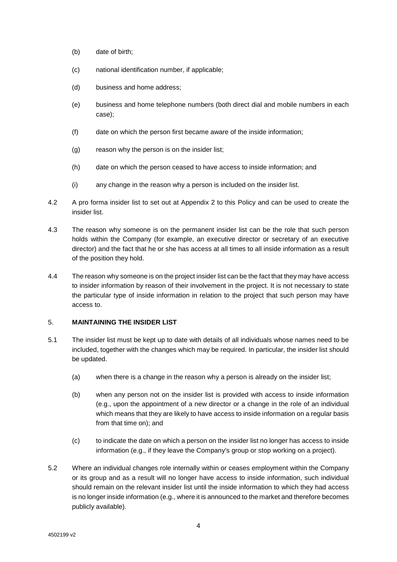- (b) date of birth;
- (c) national identification number, if applicable;
- (d) business and home address;
- (e) business and home telephone numbers (both direct dial and mobile numbers in each case);
- (f) date on which the person first became aware of the inside information;
- (g) reason why the person is on the insider list;
- (h) date on which the person ceased to have access to inside information; and
- (i) any change in the reason why a person is included on the insider list.
- 4.2 A pro forma insider list to set out at Appendix 2 to this Policy and can be used to create the insider list.
- 4.3 The reason why someone is on the permanent insider list can be the role that such person holds within the Company (for example, an executive director or secretary of an executive director) and the fact that he or she has access at all times to all inside information as a result of the position they hold.
- 4.4 The reason why someone is on the project insider list can be the fact that they may have access to insider information by reason of their involvement in the project. It is not necessary to state the particular type of inside information in relation to the project that such person may have access to.

# 5. **MAINTAINING THE INSIDER LIST**

- 5.1 The insider list must be kept up to date with details of all individuals whose names need to be included, together with the changes which may be required. In particular, the insider list should be updated.
	- (a) when there is a change in the reason why a person is already on the insider list;
	- (b) when any person not on the insider list is provided with access to inside information (e.g., upon the appointment of a new director or a change in the role of an individual which means that they are likely to have access to inside information on a regular basis from that time on); and
	- (c) to indicate the date on which a person on the insider list no longer has access to inside information (e.g., if they leave the Company's group or stop working on a project).
- 5.2 Where an individual changes role internally within or ceases employment within the Company or its group and as a result will no longer have access to inside information, such individual should remain on the relevant insider list until the inside information to which they had access is no longer inside information (e.g., where it is announced to the market and therefore becomes publicly available).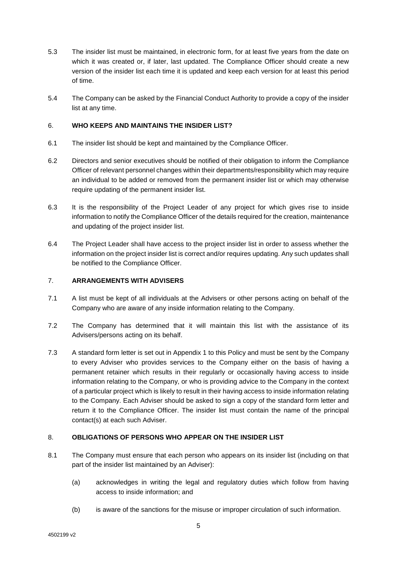- 5.3 The insider list must be maintained, in electronic form, for at least five years from the date on which it was created or, if later, last updated. The Compliance Officer should create a new version of the insider list each time it is updated and keep each version for at least this period of time.
- 5.4 The Company can be asked by the Financial Conduct Authority to provide a copy of the insider list at any time.

## 6. **WHO KEEPS AND MAINTAINS THE INSIDER LIST?**

- 6.1 The insider list should be kept and maintained by the Compliance Officer.
- 6.2 Directors and senior executives should be notified of their obligation to inform the Compliance Officer of relevant personnel changes within their departments/responsibility which may require an individual to be added or removed from the permanent insider list or which may otherwise require updating of the permanent insider list.
- 6.3 It is the responsibility of the Project Leader of any project for which gives rise to inside information to notify the Compliance Officer of the details required for the creation, maintenance and updating of the project insider list.
- 6.4 The Project Leader shall have access to the project insider list in order to assess whether the information on the project insider list is correct and/or requires updating. Any such updates shall be notified to the Compliance Officer.

# 7. **ARRANGEMENTS WITH ADVISERS**

- 7.1 A list must be kept of all individuals at the Advisers or other persons acting on behalf of the Company who are aware of any inside information relating to the Company.
- 7.2 The Company has determined that it will maintain this list with the assistance of its Advisers/persons acting on its behalf.
- 7.3 A standard form letter is set out in Appendix 1 to this Policy and must be sent by the Company to every Adviser who provides services to the Company either on the basis of having a permanent retainer which results in their regularly or occasionally having access to inside information relating to the Company, or who is providing advice to the Company in the context of a particular project which is likely to result in their having access to inside information relating to the Company. Each Adviser should be asked to sign a copy of the standard form letter and return it to the Compliance Officer. The insider list must contain the name of the principal contact(s) at each such Adviser.

#### 8. **OBLIGATIONS OF PERSONS WHO APPEAR ON THE INSIDER LIST**

- 8.1 The Company must ensure that each person who appears on its insider list (including on that part of the insider list maintained by an Adviser):
	- (a) acknowledges in writing the legal and regulatory duties which follow from having access to inside information; and
	- (b) is aware of the sanctions for the misuse or improper circulation of such information.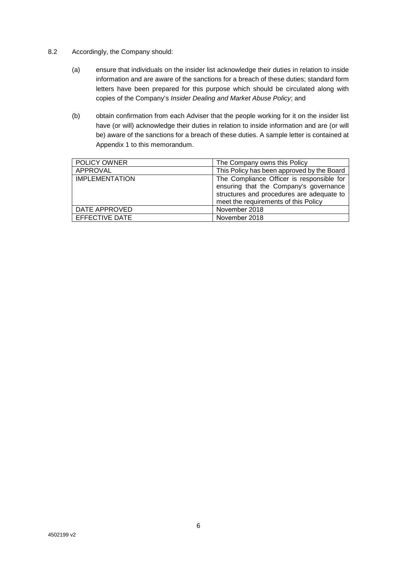- 8.2 Accordingly, the Company should:
	- (a) ensure that individuals on the insider list acknowledge their duties in relation to inside information and are aware of the sanctions for a breach of these duties; standard form letters have been prepared for this purpose which should be circulated along with copies of the Company's *Insider Dealing and Market Abuse Policy*; and
	- (b) obtain confirmation from each Adviser that the people working for it on the insider list have (or will) acknowledge their duties in relation to inside information and are (or will be) aware of the sanctions for a breach of these duties. A sample letter is contained at Appendix 1 to this memorandum.

| POLICY OWNER          | The Company owns this Policy               |
|-----------------------|--------------------------------------------|
| APPROVAL              | This Policy has been approved by the Board |
| <b>IMPLEMENTATION</b> | The Compliance Officer is responsible for  |
|                       | ensuring that the Company's governance     |
|                       | structures and procedures are adequate to  |
|                       | meet the requirements of this Policy       |
| DATE APPROVED         | November 2018                              |
| EFFECTIVE DATE        | November 2018                              |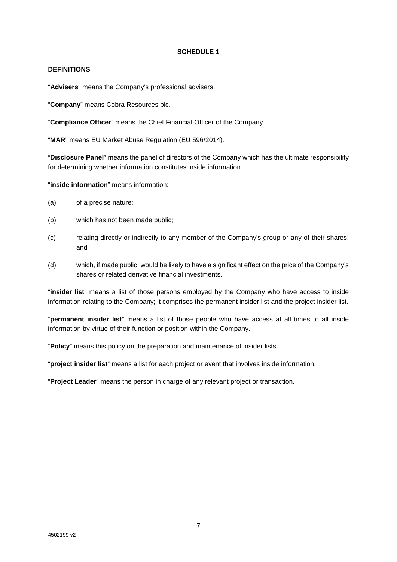#### **SCHEDULE 1**

#### **DEFINITIONS**

"**Advisers**" means the Company's professional advisers.

"**Company**" means Cobra Resources plc.

"**Compliance Officer**" means the Chief Financial Officer of the Company.

"**MAR**" means EU Market Abuse Regulation (EU 596/2014).

"**Disclosure Panel**" means the panel of directors of the Company which has the ultimate responsibility for determining whether information constitutes inside information.

"**inside information**" means information:

- (a) of a precise nature;
- (b) which has not been made public;
- (c) relating directly or indirectly to any member of the Company's group or any of their shares; and
- (d) which, if made public, would be likely to have a significant effect on the price of the Company's shares or related derivative financial investments.

"**insider list**" means a list of those persons employed by the Company who have access to inside information relating to the Company; it comprises the permanent insider list and the project insider list.

"**permanent insider list**" means a list of those people who have access at all times to all inside information by virtue of their function or position within the Company.

"**Policy**" means this policy on the preparation and maintenance of insider lists.

"**project insider list**" means a list for each project or event that involves inside information.

"**Project Leader**" means the person in charge of any relevant project or transaction.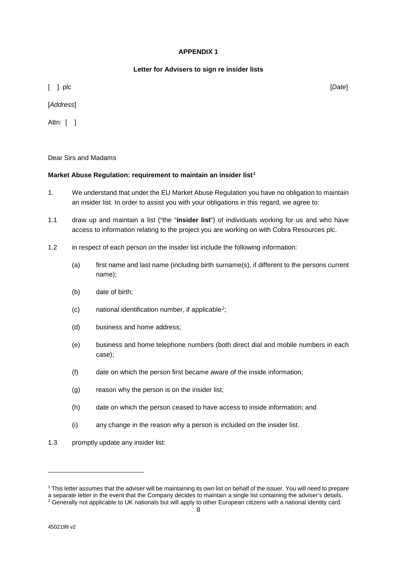#### **APPENDIX 1**

## **Letter for Advisers to sign re insider lists**

[ ] plc [*Date*]

[*Address*]

Attn: [ ]

Dear Sirs and Madams

#### **Market Abuse Regulation: requirement to maintain an insider list[1](#page-8-0)**

- 1. We understand that under the EU Market Abuse Regulation you have no obligation to maintain an insider list. In order to assist you with your obligations in this regard, we agree to:
- 1.1 draw up and maintain a list ("the "**insider list**") of individuals working for us and who have access to information relating to the project you are working on with Cobra Resources plc.
- 1.2 in respect of each person on the insider list include the following information:
	- (a) first name and last name (including birth surname(s), if different to the persons current name);
	- (b) date of birth;
	- (c) national identification number, if applicable[2;](#page-8-1)
	- (d) business and home address;
	- (e) business and home telephone numbers (both direct dial and mobile numbers in each case);
	- (f) date on which the person first became aware of the inside information;
	- (g) reason why the person is on the insider list;
	- (h) date on which the person ceased to have access to inside information; and
	- (i) any change in the reason why a person is included on the insider list.
- 1.3 promptly update any insider list:

-

<span id="page-8-1"></span><span id="page-8-0"></span><sup>1</sup> This letter assumes that the adviser will be maintaining its own list on behalf of the issuer. You will need to prepare a separate letter in the event that the Company decides to maintain a single list containing the adviser's details. <sup>2</sup> Generally not applicable to UK nationals but will apply to other European citizens with a national identity card.

<sup>8</sup>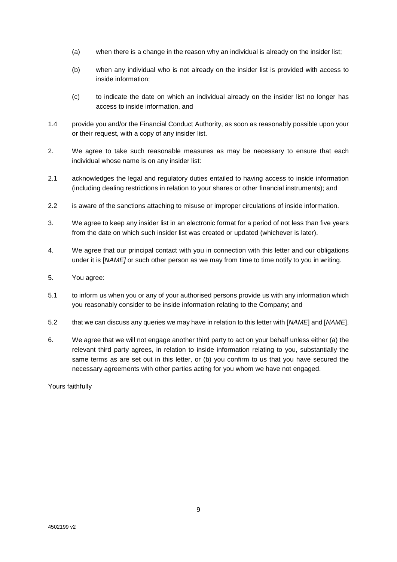- (a) when there is a change in the reason why an individual is already on the insider list;
- (b) when any individual who is not already on the insider list is provided with access to inside information;
- (c) to indicate the date on which an individual already on the insider list no longer has access to inside information, and
- 1.4 provide you and/or the Financial Conduct Authority, as soon as reasonably possible upon your or their request, with a copy of any insider list.
- 2. We agree to take such reasonable measures as may be necessary to ensure that each individual whose name is on any insider list:
- 2.1 acknowledges the legal and regulatory duties entailed to having access to inside information (including dealing restrictions in relation to your shares or other financial instruments); and
- 2.2 is aware of the sanctions attaching to misuse or improper circulations of inside information.
- 3. We agree to keep any insider list in an electronic format for a period of not less than five years from the date on which such insider list was created or updated (whichever is later).
- 4. We agree that our principal contact with you in connection with this letter and our obligations under it is [*NAME]* or such other person as we may from time to time notify to you in writing.
- 5. You agree:
- 5.1 to inform us when you or any of your authorised persons provide us with any information which you reasonably consider to be inside information relating to the Company; and
- 5.2 that we can discuss any queries we may have in relation to this letter with [*NAME*] and [*NAME*].
- 6. We agree that we will not engage another third party to act on your behalf unless either (a) the relevant third party agrees, in relation to inside information relating to you, substantially the same terms as are set out in this letter, or (b) you confirm to us that you have secured the necessary agreements with other parties acting for you whom we have not engaged.

Yours faithfully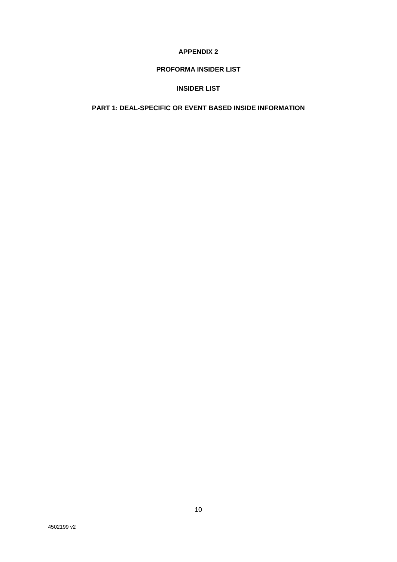### **APPENDIX 2**

# **PROFORMA INSIDER LIST**

## **INSIDER LIST**

# **PART 1: DEAL-SPECIFIC OR EVENT BASED INSIDE INFORMATION**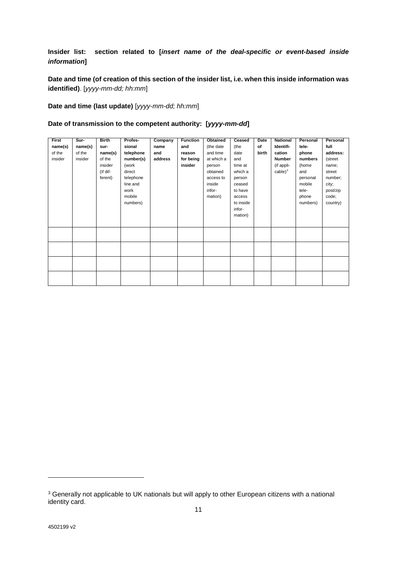# **Insider list: section related to [***insert name of the deal-specific or event-based inside information***]**

**Date and time (of creation of this section of the insider list, i.e. when this inside information was identified)**. [*yyyy-mm-dd; hh:mm*]

**Date and time (last update)** [*yyyy-mm-dd; hh:mm*]

#### **Date of transmission to the competent authority: [***yyyy-mm-dd***]**

| First   | Sur-    | <b>Birth</b> | Profes-   | Company | <b>Function</b> | Obtained   | Ceased    | Date  | <b>National</b> | Personal | Personal |
|---------|---------|--------------|-----------|---------|-----------------|------------|-----------|-------|-----------------|----------|----------|
| name(s) | name(s) | sur-         | sional    | name    | and             | (the date  | (the      | of    | Identifi-       | tele-    | full     |
| of the  | of the  | name(s)      | telephone | and     | reason          | and time   | date      | birth | cation          | phone    | address: |
| insider | insider | of the       | number(s) | address | for being       | at which a | and       |       | <b>Number</b>   | numbers  | (street  |
|         |         | insider      | (work     |         | insider         | person     | time at   |       | (if appli-      | (home    | name;    |
|         |         | (if dif-     | direct    |         |                 | obtained   | which a   |       | $cable)^3$      | and      | street   |
|         |         | ferent)      | telephone |         |                 | access to  | person    |       |                 | personal | number;  |
|         |         |              | line and  |         |                 | inside     | ceased    |       |                 | mobile   | city;    |
|         |         |              | work      |         |                 | infor-     | to have   |       |                 | tele-    | post/zip |
|         |         |              | mobile    |         |                 | mation)    | access    |       |                 | phone    | code;    |
|         |         |              | numbers)  |         |                 |            | to inside |       |                 | numbers) | country) |
|         |         |              |           |         |                 |            | infor-    |       |                 |          |          |
|         |         |              |           |         |                 |            | mation)   |       |                 |          |          |
|         |         |              |           |         |                 |            |           |       |                 |          |          |
|         |         |              |           |         |                 |            |           |       |                 |          |          |
|         |         |              |           |         |                 |            |           |       |                 |          |          |
|         |         |              |           |         |                 |            |           |       |                 |          |          |
|         |         |              |           |         |                 |            |           |       |                 |          |          |
|         |         |              |           |         |                 |            |           |       |                 |          |          |
|         |         |              |           |         |                 |            |           |       |                 |          |          |
|         |         |              |           |         |                 |            |           |       |                 |          |          |
|         |         |              |           |         |                 |            |           |       |                 |          |          |
|         |         |              |           |         |                 |            |           |       |                 |          |          |

-

<span id="page-11-0"></span><sup>&</sup>lt;sup>3</sup> Generally not applicable to UK nationals but will apply to other European citizens with a national identity card.